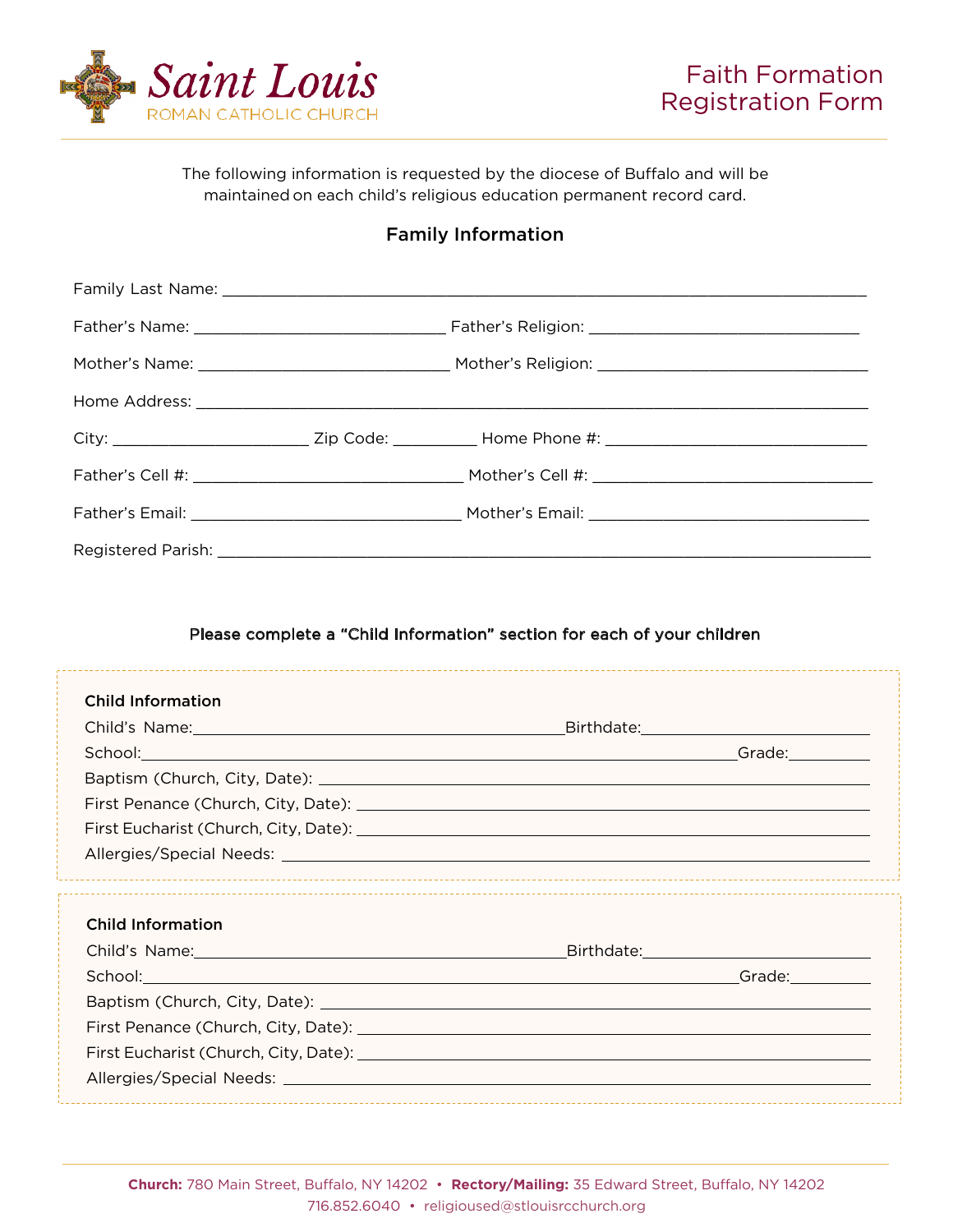

The following information is requested by the diocese of Buffalo and will be maintained on each child's religious education permanent record card.

## Family Information

|                          | City: ____________________________Zip Code: ____________Home Phone #: ______________________________                                                                                                                           |  |  |  |
|--------------------------|--------------------------------------------------------------------------------------------------------------------------------------------------------------------------------------------------------------------------------|--|--|--|
|                          |                                                                                                                                                                                                                                |  |  |  |
|                          |                                                                                                                                                                                                                                |  |  |  |
|                          |                                                                                                                                                                                                                                |  |  |  |
|                          | Please complete a "Child Information" section for each of your children                                                                                                                                                        |  |  |  |
|                          |                                                                                                                                                                                                                                |  |  |  |
| <b>Child Information</b> |                                                                                                                                                                                                                                |  |  |  |
|                          |                                                                                                                                                                                                                                |  |  |  |
|                          |                                                                                                                                                                                                                                |  |  |  |
|                          |                                                                                                                                                                                                                                |  |  |  |
|                          |                                                                                                                                                                                                                                |  |  |  |
|                          |                                                                                                                                                                                                                                |  |  |  |
|                          |                                                                                                                                                                                                                                |  |  |  |
| <b>Child Information</b> |                                                                                                                                                                                                                                |  |  |  |
|                          | Child's Name: Child's Name: Child's Name: Child's Name: Child's Name: Child's Name:                                                                                                                                            |  |  |  |
|                          | School: Change of the Contract of Change of Change of Change of Change of Change of Change of Change of Change of Change of Change of Change of Change of Change of Change of Change of Change of Change of Change of Change o |  |  |  |
|                          |                                                                                                                                                                                                                                |  |  |  |
|                          |                                                                                                                                                                                                                                |  |  |  |
|                          |                                                                                                                                                                                                                                |  |  |  |
|                          |                                                                                                                                                                                                                                |  |  |  |
|                          |                                                                                                                                                                                                                                |  |  |  |